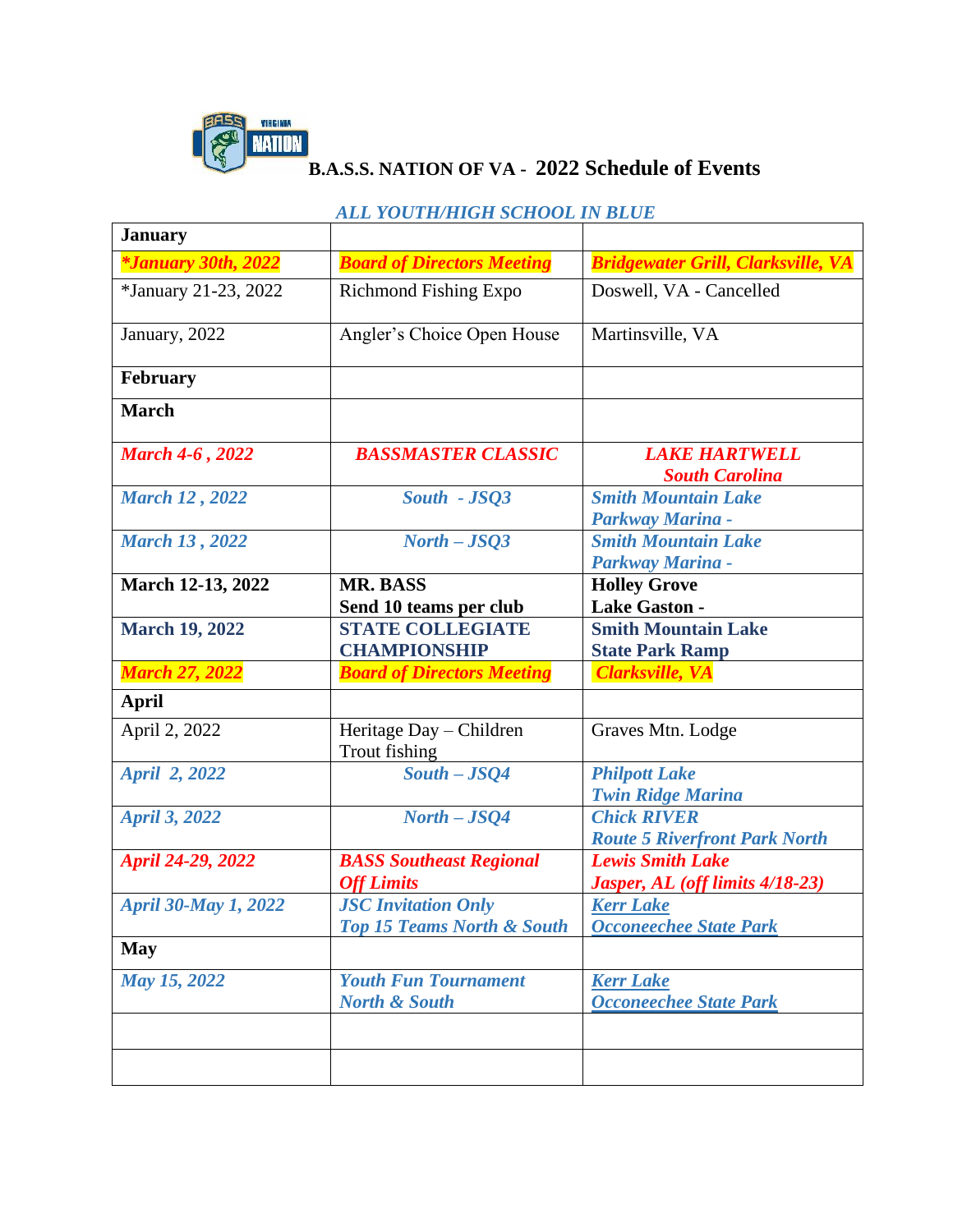

## **B.A.S.S. NATION OF VA - 2022 Schedule of Events**

|                             | АЕЕ ТООТШЛЮЙ ЭСПООЕ НУ ВЕСЕ                                         |                                                            |
|-----------------------------|---------------------------------------------------------------------|------------------------------------------------------------|
| <b>January</b>              |                                                                     |                                                            |
| <i>*January 30th, 2022</i>  | <b>Board of Directors Meeting</b>                                   | <b>Bridgewater Grill, Clarksville, VA</b>                  |
| *January 21-23, 2022        | <b>Richmond Fishing Expo</b>                                        | Doswell, VA - Cancelled                                    |
| January, 2022               | Angler's Choice Open House                                          | Martinsville, VA                                           |
| February                    |                                                                     |                                                            |
| <b>March</b>                |                                                                     |                                                            |
| <b>March 4-6, 2022</b>      | <b>BASSMASTER CLASSIC</b>                                           | <b>LAKE HARTWELL</b><br><b>South Carolina</b>              |
| <b>March 12, 2022</b>       | South - JSQ3                                                        | <b>Smith Mountain Lake</b><br>Parkway Marina -             |
| <b>March 13, 2022</b>       | $North - JSQ3$                                                      | <b>Smith Mountain Lake</b><br>Parkway Marina -             |
| March 12-13, 2022           | <b>MR. BASS</b><br>Send 10 teams per club                           | <b>Holley Grove</b><br><b>Lake Gaston -</b>                |
| <b>March 19, 2022</b>       | <b>STATE COLLEGIATE</b><br><b>CHAMPIONSHIP</b>                      | <b>Smith Mountain Lake</b><br><b>State Park Ramp</b>       |
| <b>March 27, 2022</b>       | <b>Board of Directors Meeting</b>                                   | <b>Clarksville, VA</b>                                     |
| <b>April</b>                |                                                                     |                                                            |
| April 2, 2022               | Heritage Day - Children<br>Trout fishing                            | Graves Mtn. Lodge                                          |
| April 2, 2022               | $South - JSQ4$                                                      | <b>Philpott Lake</b><br><b>Twin Ridge Marina</b>           |
| <b>April 3, 2022</b>        | $North - JSQ4$                                                      | <b>Chick RIVER</b><br><b>Route 5 Riverfront Park North</b> |
| April 24-29, 2022           | <b>BASS Southeast Regional</b><br><b>Off Limits</b>                 | <b>Lewis Smith Lake</b><br>Jasper, AL (off limits 4/18-23) |
| <b>April 30-May 1, 2022</b> | <b>JSC Invitation Only</b><br><b>Top 15 Teams North &amp; South</b> | <b>Kerr Lake</b><br><b>Occoneechee State Park</b>          |
| <b>May</b>                  |                                                                     |                                                            |
| May 15, 2022                | <b>Youth Fun Tournament</b><br><b>North &amp; South</b>             | <b>Kerr Lake</b><br><b>Occoneechee State Park</b>          |
|                             |                                                                     |                                                            |

## *ALL YOUTH/HIGH SCHOOL IN BLUE*